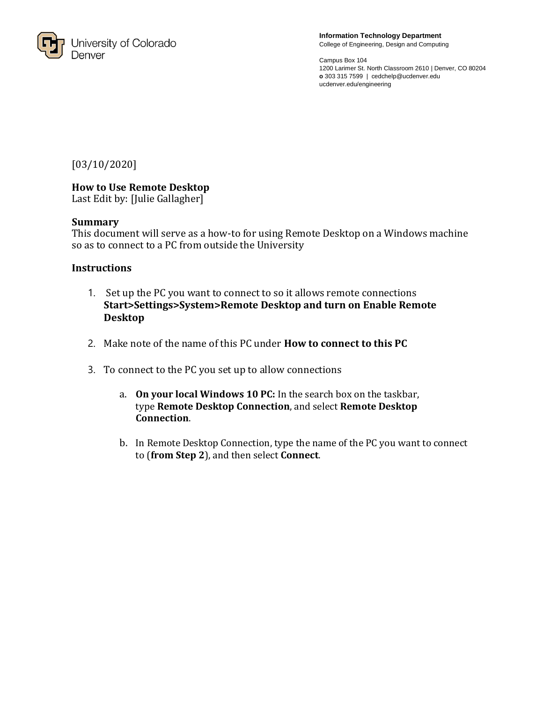

**Information Technology Department** College of Engineering, Design and Computing

Campus Box 104 1200 Larimer St. North Classroom 2610 | Denver, CO 80204 **o** 303 315 7599 | cedchelp@ucdenver.edu ucdenver.edu/engineering

[03/10/2020]

## **How to Use Remote Desktop**

Last Edit by: [Julie Gallagher]

## **Summary**

This document will serve as a how-to for using Remote Desktop on a Windows machine so as to connect to a PC from outside the University

## **Instructions**

- 1. Set up the PC you want to connect to so it allows remote connections **Start>Settings>System>Remote Desktop and turn on Enable Remote Desktop**
- 2. Make note of the name of this PC under **How to connect to this PC**
- 3. To connect to the PC you set up to allow connections
	- a. **On your local Windows 10 PC:** In the search box on the taskbar, type **Remote Desktop Connection**, and select **Remote Desktop Connection**.
	- b. In Remote Desktop Connection, type the name of the PC you want to connect to (**from Step 2**), and then select **Connect**.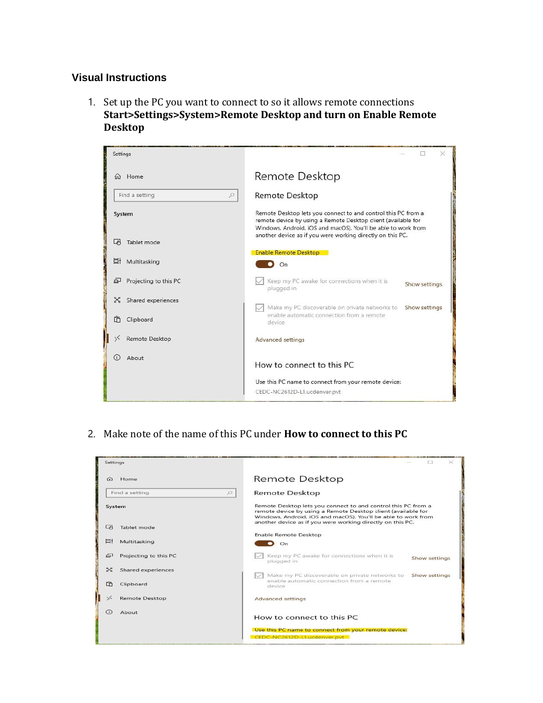## **Visual Instructions**

1. Set up the PC you want to connect to so it allows remote connections **Start>Settings>System>Remote Desktop and turn on Enable Remote Desktop**



2. Make note of the name of this PC under **How to connect to this PC**

| Settings                        |                                                                                                                                                                                                 | $\times$      |  |  |  |
|---------------------------------|-------------------------------------------------------------------------------------------------------------------------------------------------------------------------------------------------|---------------|--|--|--|
| Home<br>$\Omega$                | Remote Desktop                                                                                                                                                                                  |               |  |  |  |
| Find a setting<br>$\mathcal{D}$ | Remote Desktop                                                                                                                                                                                  |               |  |  |  |
| System                          | Remote Desktop lets you connect to and control this PC from a<br>remote device by using a Remote Desktop client (available for<br>Windows, Android, iOS and macOS). You'll be able to work from |               |  |  |  |
| 叼<br>Tablet mode                | another device as if you were working directly on this PC.                                                                                                                                      |               |  |  |  |
|                                 | Enable Remote Desktop                                                                                                                                                                           |               |  |  |  |
| 闫t<br>Multitasking              | On                                                                                                                                                                                              |               |  |  |  |
| 中<br>Projecting to this PC      | Keep my PC awake for connections when it is<br>plugged in                                                                                                                                       | Show settings |  |  |  |
| $\approx$<br>Shared experiences |                                                                                                                                                                                                 |               |  |  |  |
| 咛<br>Clipboard                  | Make my PC discoverable on private networks to<br>enable automatic connection from a remote<br>device                                                                                           | Show settings |  |  |  |
| $\leq$<br><b>Remote Desktop</b> | <b>Advanced settings</b>                                                                                                                                                                        |               |  |  |  |
| G)<br>About                     | How to connect to this PC                                                                                                                                                                       |               |  |  |  |
|                                 | Use this PC name to connect from your remote device:                                                                                                                                            |               |  |  |  |
|                                 | CEDC-NC2612D-L1.ucdenver.pvt                                                                                                                                                                    |               |  |  |  |